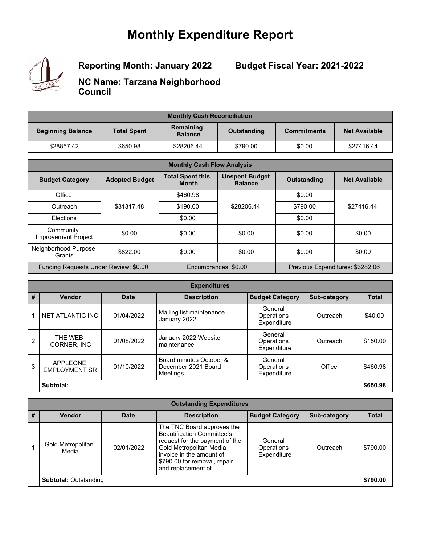### **Monthly Expenditure Report**



**Reporting Month: January 2022**

**Budget Fiscal Year: 2021-2022**

**NC Name: Tarzana Neighborhood Council**

| <b>Monthly Cash Reconciliation</b> |                                                   |            |             |                    |                      |
|------------------------------------|---------------------------------------------------|------------|-------------|--------------------|----------------------|
| <b>Beginning Balance</b>           | Remaining<br><b>Total Spent</b><br><b>Balance</b> |            | Outstanding | <b>Commitments</b> | <b>Net Available</b> |
| \$28857.42                         | \$650.98                                          | \$28206.44 | \$790.00    | \$0.00             | \$27416.44           |

| <b>Monthly Cash Flow Analysis</b>     |                       |                                         |                                         |                    |                                  |  |
|---------------------------------------|-----------------------|-----------------------------------------|-----------------------------------------|--------------------|----------------------------------|--|
| <b>Budget Category</b>                | <b>Adopted Budget</b> | <b>Total Spent this</b><br><b>Month</b> | <b>Unspent Budget</b><br><b>Balance</b> | <b>Outstanding</b> | <b>Net Available</b>             |  |
| Office                                |                       | \$460.98                                |                                         | \$0.00             |                                  |  |
| Outreach                              | \$31317.48            | \$190.00                                | \$28206.44                              | \$790.00           | \$27416.44                       |  |
| Elections                             |                       | \$0.00                                  |                                         | \$0.00             |                                  |  |
| Community<br>Improvement Project      | \$0.00                | \$0.00                                  | \$0.00                                  | \$0.00             | \$0.00                           |  |
| Neighborhood Purpose<br>Grants        | \$822.00              | \$0.00                                  | \$0.00                                  | \$0.00             | \$0.00                           |  |
| Funding Requests Under Review: \$0.00 |                       |                                         | Encumbrances: \$0.00                    |                    | Previous Expenditures: \$3282.06 |  |

| <b>Expenditures</b> |                                         |             |                                                            |                                      |              |              |
|---------------------|-----------------------------------------|-------------|------------------------------------------------------------|--------------------------------------|--------------|--------------|
| #                   | <b>Vendor</b>                           | <b>Date</b> | <b>Description</b>                                         | <b>Budget Category</b>               | Sub-category | <b>Total</b> |
| 1                   | NET ATLANTIC INC                        | 01/04/2022  | Mailing list maintenance<br>January 2022                   | General<br>Operations<br>Expenditure | Outreach     | \$40.00      |
| $\overline{2}$      | THF WFB<br>CORNER, INC                  | 01/08/2022  | January 2022 Website<br>maintenance                        | General<br>Operations<br>Expenditure | Outreach     | \$150.00     |
| 3                   | <b>APPLEONE</b><br><b>EMPLOYMENT SR</b> | 01/10/2022  | Board minutes October &<br>December 2021 Board<br>Meetings | General<br>Operations<br>Expenditure | Office       | \$460.98     |
| Subtotal:           |                                         |             |                                                            |                                      | \$650.98     |              |

| <b>Outstanding Expenditures</b> |                            |             |                                                                                                                                                                                                                |                                      |              |              |  |
|---------------------------------|----------------------------|-------------|----------------------------------------------------------------------------------------------------------------------------------------------------------------------------------------------------------------|--------------------------------------|--------------|--------------|--|
| #                               | <b>Vendor</b>              | <b>Date</b> | <b>Description</b>                                                                                                                                                                                             | <b>Budget Category</b>               | Sub-category | <b>Total</b> |  |
|                                 | Gold Metropolitan<br>Media | 02/01/2022  | The TNC Board approves the<br><b>Beautification Committee's</b><br>request for the payment of the<br>Gold Metropolitan Media<br>invoice in the amount of<br>\$790.00 for removal, repair<br>and replacement of | General<br>Operations<br>Expenditure | Outreach     | \$790.00     |  |
| <b>Subtotal: Outstanding</b>    |                            |             |                                                                                                                                                                                                                |                                      |              | \$790.00     |  |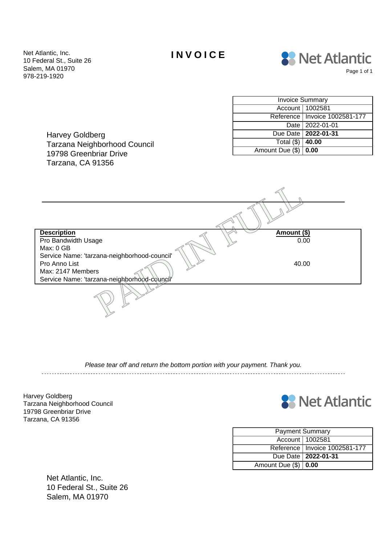Net Atlantic, Inc. **INVOICE** 10 Federal St., Suite 26 Salem, MA 01970 978-219-1920



Harvey Goldberg Tarzana Neighborhood Council 19798 Greenbriar Drive Tarzana, CA 91356

| <b>Invoice Summary</b>   |                                 |  |  |  |
|--------------------------|---------------------------------|--|--|--|
|                          | Account   1002581               |  |  |  |
|                          | Reference   Invoice 1002581-177 |  |  |  |
|                          | Date   2022-01-01               |  |  |  |
|                          | Due Date   2022-01-31           |  |  |  |
| Total $(\$)$             | 40.00                           |  |  |  |
| Amount Due $(\$)$   0.00 |                                 |  |  |  |

**Description Amount (\$)** Pro Bandwidth Usage Max: 0 GB Service Name: 'tarzana-neighborhood-council' 0.00 Pro Anno List Max: 2147 Members Service Name: 'tarzana-neighborhood-council' age<br>
Exana-neighborhood-council<sup>"</sup><br>
The disconnected Amount (\$)<br>
40.00<br>
The disconnected Amount (\$)<br>
40.00

Please tear off and return the bottom portion with your payment. Thank you. 

Harvey Goldberg Tarzana Neighborhood Council 19798 Greenbriar Drive Tarzana, CA 91356



| <b>Payment Summary</b> |                                 |  |  |  |  |
|------------------------|---------------------------------|--|--|--|--|
|                        | Account   1002581               |  |  |  |  |
|                        | Reference   Invoice 1002581-177 |  |  |  |  |
|                        | Due Date   2022-01-31           |  |  |  |  |
| Amount Due $(\$)$ 0.00 |                                 |  |  |  |  |

Net Atlantic, Inc. 10 Federal St., Suite 26 Salem, MA 01970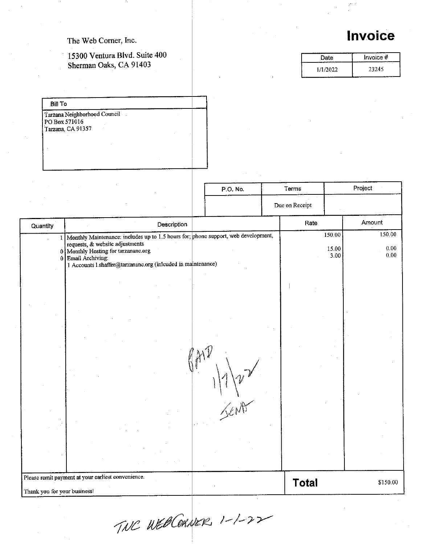#### The Web Corner, Inc.

### 15300 Ventura Blvd. Suite 400 Sherman Oaks, CA 91403

|  |  | <b>IIIVUILU</b> |  |  |
|--|--|-----------------|--|--|
|  |  |                 |  |  |
|  |  |                 |  |  |

| Date     | Invoice # |
|----------|-----------|
| 1/1/2022 | 23245     |

| Tarzana Neighborhood Council |  |
|------------------------------|--|
| PO Box 571016                |  |
| Tarzana, CA 91357            |  |
|                              |  |
|                              |  |
|                              |  |
|                              |  |

|                              |                                                                                                                                                                                                                                                    | P.O. No. | Terms          | Project                 |                            |
|------------------------------|----------------------------------------------------------------------------------------------------------------------------------------------------------------------------------------------------------------------------------------------------|----------|----------------|-------------------------|----------------------------|
|                              |                                                                                                                                                                                                                                                    |          | Due on Receipt |                         |                            |
| Quantity                     | Description                                                                                                                                                                                                                                        |          | Rate           | Amount                  |                            |
| 1                            | Monthly Maintenance: includes up to 1.5 hours for; phone support, web development,<br>requests, & website adjustments<br>0 Monthly Hosting for tarzananc.org<br>0 Email Archiving:<br>1 Accounts 1.shaffer@tarzananc.org (inlcuded in maintenance) |          |                | 150.00<br>15.00<br>3.00 | 150.00<br>$0.00\,$<br>0.00 |
|                              |                                                                                                                                                                                                                                                    |          |                |                         |                            |
|                              |                                                                                                                                                                                                                                                    |          |                |                         |                            |
|                              |                                                                                                                                                                                                                                                    |          |                |                         |                            |
|                              |                                                                                                                                                                                                                                                    |          |                |                         |                            |
|                              |                                                                                                                                                                                                                                                    | Lent     |                |                         |                            |
|                              |                                                                                                                                                                                                                                                    |          |                |                         |                            |
| Thank you for your business! | Please remit payment at your earliest convenience.                                                                                                                                                                                                 |          | <b>Total</b>   |                         | \$150.00                   |

TNC WEBCORNER, 1-1-22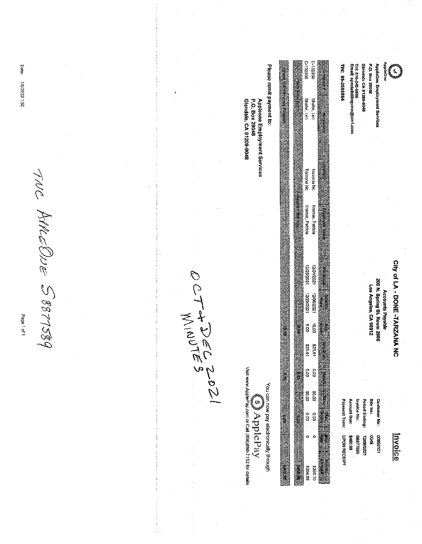CIty of LA - DONE -TARZANA NC

**SEC** 

AppleOne Employment Services

Glendale CA 91209-9048 P.O. Box 29048

Tel: 818-240-8588<br>Email: specialbilingvms@ain1.com

TIN: 95-2580864

Accounts Payable<br>200 N. Spring St. Room 2005<br>Los Angeles, CA 90012

**SOIG** 

 $\overline{v}$  $\mathbf{v}$ **Customer No:** 10105600

| ayment Term:        | mount Due: | voice No: | snod Ending: | 苏齐      |  |
|---------------------|------------|-----------|--------------|---------|--|
| <b>UPON RECEIPT</b> | 86.08k     | 8877589   | 1202/20/21   | 86<br>8 |  |

|  | 0-132956           | C-132956             |  |
|--|--------------------|----------------------|--|
|  |                    |                      |  |
|  |                    |                      |  |
|  |                    |                      |  |
|  |                    |                      |  |
|  |                    |                      |  |
|  |                    |                      |  |
|  |                    |                      |  |
|  |                    |                      |  |
|  |                    |                      |  |
|  |                    |                      |  |
|  | Shafer, Len        | Shater, Len          |  |
|  |                    |                      |  |
|  |                    |                      |  |
|  |                    |                      |  |
|  |                    |                      |  |
|  |                    |                      |  |
|  |                    |                      |  |
|  |                    |                      |  |
|  |                    |                      |  |
|  |                    |                      |  |
|  |                    |                      |  |
|  |                    |                      |  |
|  | Tarzana No         | <b>Tarzana No</b>    |  |
|  |                    |                      |  |
|  |                    |                      |  |
|  |                    |                      |  |
|  |                    |                      |  |
|  |                    |                      |  |
|  |                    |                      |  |
|  |                    |                      |  |
|  | Kramer, Patricia   | Kramer, Patricia     |  |
|  |                    |                      |  |
|  |                    |                      |  |
|  |                    |                      |  |
|  |                    |                      |  |
|  |                    |                      |  |
|  |                    |                      |  |
|  |                    |                      |  |
|  |                    |                      |  |
|  |                    |                      |  |
|  |                    |                      |  |
|  |                    |                      |  |
|  |                    |                      |  |
|  |                    |                      |  |
|  |                    |                      |  |
|  | 1202/021 1202/2012 | 1204/2021 12/08/2021 |  |
|  |                    |                      |  |
|  |                    |                      |  |
|  |                    |                      |  |
|  |                    |                      |  |
|  |                    |                      |  |
|  |                    |                      |  |
|  |                    |                      |  |
|  |                    |                      |  |
|  |                    | 00.01                |  |
|  | ρ°<br>Β            |                      |  |
|  |                    |                      |  |
|  |                    |                      |  |
|  |                    |                      |  |
|  |                    | 1992\$               |  |
|  |                    |                      |  |
|  | 19973              |                      |  |
|  |                    |                      |  |
|  |                    |                      |  |
|  | $\frac{1}{2}$      |                      |  |
|  |                    | oo.                  |  |
|  |                    |                      |  |
|  |                    |                      |  |
|  |                    |                      |  |
|  | 50.00              |                      |  |
|  |                    | 0.0.04               |  |
|  |                    |                      |  |
|  |                    |                      |  |
|  |                    |                      |  |
|  |                    |                      |  |
|  |                    |                      |  |
|  |                    |                      |  |
|  |                    |                      |  |
|  |                    |                      |  |
|  |                    |                      |  |
|  |                    |                      |  |
|  |                    |                      |  |
|  |                    |                      |  |
|  |                    |                      |  |
|  |                    |                      |  |
|  |                    |                      |  |
|  |                    |                      |  |
|  |                    |                      |  |
|  |                    |                      |  |
|  |                    |                      |  |

Please remit payment to:

Appleone Employment Services<br>P.O. Box 29948

Glendale, CA 91209-9048

(s) ApplePay

You can now pay electronically through

Visit www.ApplePay.com or Call (866)898-7152 for details

OTTADEC2021

TIUC ANLEONE S8877589 Page 1 of 1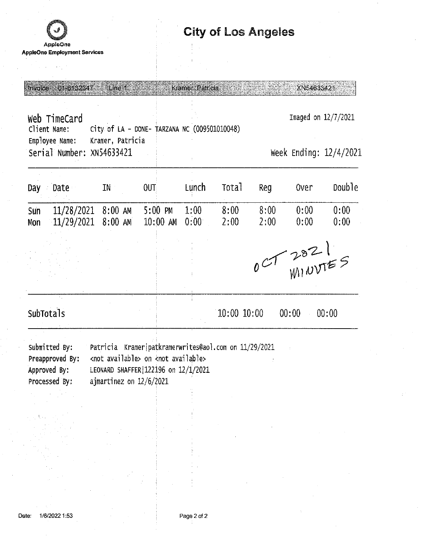

 $\alpha \in \mathbb{R}^2$ 

# **City of Los Angeles**

| Invoice                                                                      | 01-6132347                                                        | Line 1                                                                                                                                                                            |      |                                   | Kramer, Patricia   |                   |              | XN54633421          |                        |  |  |
|------------------------------------------------------------------------------|-------------------------------------------------------------------|-----------------------------------------------------------------------------------------------------------------------------------------------------------------------------------|------|-----------------------------------|--------------------|-------------------|--------------|---------------------|------------------------|--|--|
| Web TimeCard<br>City of LA - DONE- TARZANA NC (009501010048)<br>Client Name: |                                                                   |                                                                                                                                                                                   |      |                                   |                    |                   |              | Imaged on 12/7/2021 |                        |  |  |
|                                                                              | Employee Name:<br>Serial Number: XN54633421                       | Kramer, Patricia                                                                                                                                                                  |      |                                   |                    |                   |              |                     | Week Ending: 12/4/2021 |  |  |
| Day                                                                          | Date                                                              | IN                                                                                                                                                                                | OUT: |                                   | Lunch              | Tota <sub>1</sub> | Reg          | <b>Over</b>         | Double                 |  |  |
| Sun<br>Mon                                                                   | $11/28/2021$ 8:00 AM<br>11/29/2021                                | 8:00 AM                                                                                                                                                                           |      | $5:00 \, \text{PM}$<br>$10:00$ AM | 1:00<br>$0:00^{-}$ | 8:00<br>2:00      | 8:00<br>2:00 | 0:00<br>0:00        | 0:00<br>0:00           |  |  |
|                                                                              |                                                                   |                                                                                                                                                                                   |      |                                   |                    |                   |              | CT2821              |                        |  |  |
|                                                                              | SubTotals                                                         |                                                                                                                                                                                   |      |                                   |                    | $10:00$ $10:00$   |              | 00:00               | 00:00                  |  |  |
|                                                                              | Submitted By:<br>Preapproved By:<br>Approved By:<br>Processed By: | Patricia Kramer patkramerwrites@aol.com on 11/29/2021<br><not available=""> on <not available=""><br/>LEONARD SHAFFER 122196 on 12/1/2021<br/>ajmartinez on 12/6/2021</not></not> |      |                                   |                    |                   |              |                     |                        |  |  |